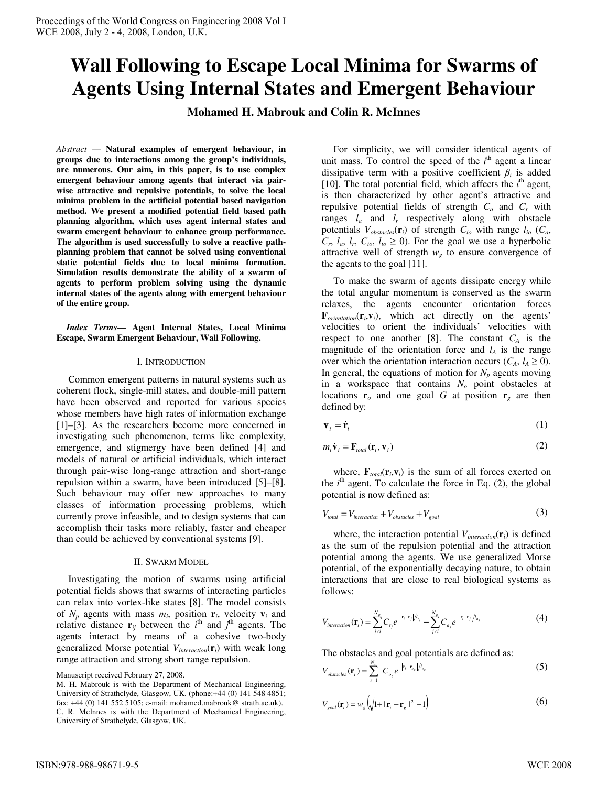# **Wall Following to Escape Local Minima for Swarms of Agents Using Internal States and Emergent Behaviour**

**Mohamed H. Mabrouk and Colin R. McInnes** 

*Abstract* — **Natural examples of emergent behaviour, in groups due to interactions among the group's individuals, are numerous. Our aim, in this paper, is to use complex emergent behaviour among agents that interact via pairwise attractive and repulsive potentials, to solve the local minima problem in the artificial potential based navigation method. We present a modified potential field based path planning algorithm, which uses agent internal states and swarm emergent behaviour to enhance group performance. The algorithm is used successfully to solve a reactive pathplanning problem that cannot be solved using conventional static potential fields due to local minima formation. Simulation results demonstrate the ability of a swarm of agents to perform problem solving using the dynamic internal states of the agents along with emergent behaviour of the entire group.** 

*Index Terms***— Agent Internal States, Local Minima Escape, Swarm Emergent Behaviour, Wall Following.** 

## I. INTRODUCTION

 Common emergent patterns in natural systems such as coherent flock, single-mill states, and double-mill pattern have been observed and reported for various species whose members have high rates of information exchange [1]–[3]. As the researchers become more concerned in investigating such phenomenon, terms like complexity, emergence, and stigmergy have been defined [4] and models of natural or artificial individuals, which interact through pair-wise long-range attraction and short-range repulsion within a swarm, have been introduced [5]–[8]. Such behaviour may offer new approaches to many classes of information processing problems, which currently prove infeasible, and to design systems that can accomplish their tasks more reliably, faster and cheaper than could be achieved by conventional systems [9].

#### II. SWARM MODEL

 Investigating the motion of swarms using artificial potential fields shows that swarms of interacting particles can relax into vortex-like states [8]. The model consists of  $N_p$  agents with mass  $m_i$ , position  $\mathbf{r}_i$ , velocity  $\mathbf{v}_i$  and relative distance  $\mathbf{r}_{ij}$  between the  $i^{\text{th}}$  and  $j^{\text{th}}$  agents. The agents interact by means of a cohesive two-body generalized Morse potential *Vinteraction*(**r***i*) with weak long range attraction and strong short range repulsion.

Manuscript received February 27, 2008.

 For simplicity, we will consider identical agents of unit mass. To control the speed of the  $i<sup>th</sup>$  agent a linear dissipative term with a positive coefficient  $\beta_i$  is added [10]. The total potential field, which affects the  $i<sup>th</sup>$  agent, is then characterized by other agent's attractive and repulsive potential fields of strength *Ca* and *C<sup>r</sup>* with ranges  $l_a$  and  $l_r$  respectively along with obstacle potentials  $V_{obstacles}(\mathbf{r}_i)$  of strength  $C_{io}$  with range  $l_{io}$  ( $C_a$ ),  $C_r$ ,  $l_a$ ,  $l_r$ ,  $C_{io}$ ,  $l_{io} \ge 0$ ). For the goal we use a hyperbolic attractive well of strength  $w_g$  to ensure convergence of the agents to the goal [11].

 To make the swarm of agents dissipate energy while the total angular momentum is conserved as the swarm relaxes, the agents encounter orientation forces  $\mathbf{F}_{orientation}(\mathbf{r}_i, \mathbf{v}_i)$ , which act directly on the agents' velocities to orient the individuals' velocities with respect to one another [8]. The constant  $C_A$  is the magnitude of the orientation force and  $l_A$  is the range over which the orientation interaction occurs  $(C_A, l_A \geq 0)$ . In general, the equations of motion for  $N_p$  agents moving in a workspace that contains *No* point obstacles at locations  $r_o$  and one goal *G* at position  $r_g$  are then defined by:

$$
\mathbf{v}_i = \dot{\mathbf{r}}_i \tag{1}
$$

$$
m_i \dot{\mathbf{v}}_i = \mathbf{F}_{total}(\mathbf{r}_i, \mathbf{v}_i)
$$
 (2)

where,  $\mathbf{F}_{total}(\mathbf{r}_i, \mathbf{v}_i)$  is the sum of all forces exerted on the  $i<sup>th</sup>$  agent. To calculate the force in Eq. (2), the global potential is now defined as:

$$
V_{total} = V_{interaction} + V_{obsacles} + V_{goal}
$$
 (3)

 where, the interaction potential *Vinteraction*(**r***i*) is defined as the sum of the repulsion potential and the attraction potential among the agents. We use generalized Morse potential, of the exponentially decaying nature, to obtain interactions that are close to real biological systems as follows:

$$
V_{interaction}(\mathbf{r}_{i}) = \sum_{j \neq i}^{N_{p}} C_{r_{j}} e^{-|\mathbf{r}_{i} - \mathbf{r}_{j}|/l_{r_{j}}} - \sum_{j \neq i}^{N_{p}} C_{a_{j}} e^{-|\mathbf{r}_{i} - \mathbf{r}_{j}|/l_{a_{j}}}
$$
(4)

The obstacles and goal potentials are defined as:

$$
V_{\text{obstacles}}(\mathbf{r}_i) = \sum_{z=1}^{N_o} C_{o_z} e^{-|\mathbf{r}_i - \mathbf{r}_{o_z}|/l_{o_z}}
$$
(5)

$$
V_{\text{goal}}(\mathbf{r}_i) = w_g \left( \sqrt{1 + |\mathbf{r}_i - \mathbf{r}_g|^2} - 1 \right) \tag{6}
$$

M. H. Mabrouk is with the Department of Mechanical Engineering, University of Strathclyde, Glasgow, UK. (phone:+44 (0) 141 548 4851; fax: +44 (0) 141 552 5105; e-mail: mohamed.mabrouk@ strath.ac.uk). C. R. McInnes is with the Department of Mechanical Engineering, University of Strathclyde, Glasgow, UK.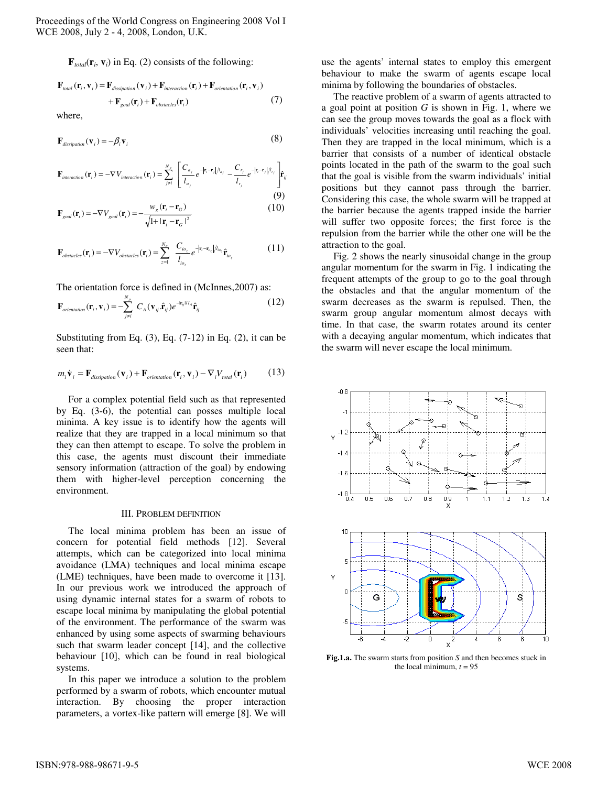$\mathbf{F}_{total}(\mathbf{r}_i, \mathbf{v}_i)$  in Eq. (2) consists of the following:

$$
\mathbf{F}_{total}(\mathbf{r}_i, \mathbf{v}_i) = \mathbf{F}_{dissipation}(\mathbf{v}_i) + \mathbf{F}_{interaction}(\mathbf{r}_i) + \mathbf{F}_{orientation}(\mathbf{r}_i, \mathbf{v}_i)
$$
  
+ 
$$
\mathbf{F}_{goal}(\mathbf{r}_i) + \mathbf{F}_{obstacles}(\mathbf{r}_i)
$$
 (7)

where,

$$
\mathbf{F}_{dissipation}(\mathbf{v}_i) = -\beta_i \mathbf{v}_i
$$
\n(8)

$$
\mathbf{F}_{interaction}(\mathbf{r}_i) = -\nabla V_{interaction}(\mathbf{r}_i) = \sum_{j \neq i}^{N_p} \left[ \frac{C_{a_j}}{l_{a_j}} e^{-|\mathbf{r}_i - \mathbf{r}_j|/l_{a_j}} - \frac{C_{r_j}}{l_{r_j}} e^{-|\mathbf{r}_i - \mathbf{r}_j|/l_{r_j}} \right] \hat{\mathbf{r}}_{ij}
$$
\n(9)

$$
\mathbf{F}_{goal}(\mathbf{r}_i) = -\nabla V_{goal}(\mathbf{r}_i) = -\frac{W_g(\mathbf{r}_i - \mathbf{r}_G)}{\sqrt{1 + |\mathbf{r}_i - \mathbf{r}_G|^2}}
$$
(10)

$$
\mathbf{F}_{obstack}(\mathbf{r}_i) = -\nabla V_{obstack}(\mathbf{r}_i) = \sum_{z=1}^{N_o} \frac{C_{io_z}}{l_{io_z}} e^{-|\mathbf{r}_i - \mathbf{r}_{o_z}|/l_{io_z}} \hat{\mathbf{r}}_{io_z}
$$
(11)

The orientation force is defined in (McInnes,2007) as:

$$
\mathbf{F}_{orientation}(\mathbf{r}_i, \mathbf{v}_i) = -\sum_{j \neq i}^{N_p} C_A(\mathbf{v}_{ij} \cdot \hat{\mathbf{r}}_{ij}) e^{-i\mathbf{r}_{ij} U_A} \hat{\mathbf{r}}_{ij}
$$
(12)

Substituting from Eq.  $(3)$ , Eq.  $(7-12)$  in Eq.  $(2)$ , it can be seen that:

$$
m_i \dot{\mathbf{v}}_i = \mathbf{F}_{dissipation}(\mathbf{v}_i) + \mathbf{F}_{orientation}(\mathbf{r}_i, \mathbf{v}_i) - \nabla_i V_{total}(\mathbf{r}_i)
$$
(13)

 For a complex potential field such as that represented by Eq. (3-6), the potential can posses multiple local minima. A key issue is to identify how the agents will realize that they are trapped in a local minimum so that they can then attempt to escape. To solve the problem in this case, the agents must discount their immediate sensory information (attraction of the goal) by endowing them with higher-level perception concerning the environment.

## III. PROBLEM DEFINITION

 The local minima problem has been an issue of concern for potential field methods [12]. Several attempts, which can be categorized into local minima avoidance (LMA) techniques and local minima escape (LME) techniques, have been made to overcome it [13]. In our previous work we introduced the approach of using dynamic internal states for a swarm of robots to escape local minima by manipulating the global potential of the environment. The performance of the swarm was enhanced by using some aspects of swarming behaviours such that swarm leader concept [14], and the collective behaviour [10], which can be found in real biological systems.

 In this paper we introduce a solution to the problem performed by a swarm of robots, which encounter mutual interaction. By choosing the proper interaction parameters, a vortex-like pattern will emerge [8]. We will

use the agents' internal states to employ this emergent behaviour to make the swarm of agents escape local minima by following the boundaries of obstacles.

 The reactive problem of a swarm of agents attracted to a goal point at position *G* is shown in Fig. 1, where we can see the group moves towards the goal as a flock with individuals' velocities increasing until reaching the goal. Then they are trapped in the local minimum, which is a barrier that consists of a number of identical obstacle points located in the path of the swarm to the goal such that the goal is visible from the swarm individuals' initial positions but they cannot pass through the barrier. Considering this case, the whole swarm will be trapped at the barrier because the agents trapped inside the barrier will suffer two opposite forces; the first force is the repulsion from the barrier while the other one will be the attraction to the goal.

 Fig. 2 shows the nearly sinusoidal change in the group angular momentum for the swarm in Fig. 1 indicating the frequent attempts of the group to go to the goal through the obstacles and that the angular momentum of the swarm decreases as the swarm is repulsed. Then, the swarm group angular momentum almost decays with time. In that case, the swarm rotates around its center with a decaying angular momentum, which indicates that the swarm will never escape the local minimum.



**Fig.1.a.** The swarm starts from position *S* and then becomes stuck in the local minimum,  $t = 95$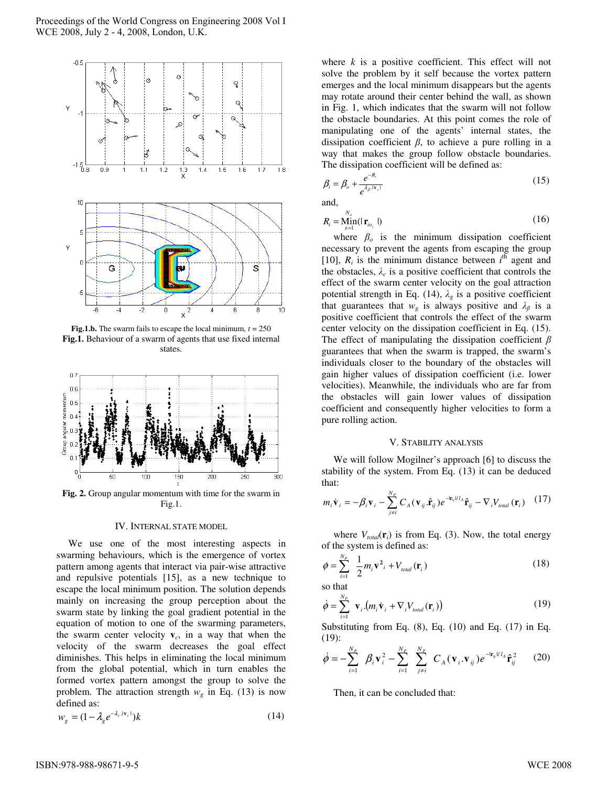

**Fig.1.b.** The swarm fails to escape the local minimum,  $t = 250$ **Fig.1.** Behaviour of a swarm of agents that use fixed internal states.



**Fig. 2.** Group angular momentum with time for the swarm in Fig.1.

#### IV. INTERNAL STATE MODEL

 We use one of the most interesting aspects in swarming behaviours, which is the emergence of vortex pattern among agents that interact via pair-wise attractive and repulsive potentials [15], as a new technique to escape the local minimum position. The solution depends mainly on increasing the group perception about the swarm state by linking the goal gradient potential in the equation of motion to one of the swarming parameters, the swarm center velocity  $\mathbf{v}_c$ , in a way that when the velocity of the swarm decreases the goal effect diminishes. This helps in eliminating the local minimum from the global potential, which in turn enables the formed vortex pattern amongst the group to solve the problem. The attraction strength  $w<sub>g</sub>$  in Eq. (13) is now defined as:

$$
w_g = (1 - \lambda_g e^{-\lambda_c |v_c|})k
$$
\n(14)

where  $k$  is a positive coefficient. This effect will not solve the problem by it self because the vortex pattern emerges and the local minimum disappears but the agents may rotate around their center behind the wall, as shown in Fig. 1, which indicates that the swarm will not follow the obstacle boundaries. At this point comes the role of manipulating one of the agents' internal states, the dissipation coefficient  $\beta$ , to achieve a pure rolling in a way that makes the group follow obstacle boundaries. The dissipation coefficient will be defined as:

$$
\beta_i = \beta_o + \frac{e^{-R_i}}{e^{\lambda_\beta \cdot \mathbf{r}_c t}} \tag{15}
$$

and,

$$
R_i = \underset{z=1}{\underset{z=1}{\text{Min}}} (|\mathbf{r}_{i_{\mathcal{O}_z}}|) \tag{16}
$$

where  $\beta_o$  is the minimum dissipation coefficient necessary to prevent the agents from escaping the group [10],  $R_i$  is the minimum distance between  $i^{th}$  agent and the obstacles,  $\lambda_c$  is a positive coefficient that controls the effect of the swarm center velocity on the goal attraction potential strength in Eq. (14),  $\lambda_g$  is a positive coefficient that guarantees that  $w_g$  is always positive and  $\lambda_g$  is a positive coefficient that controls the effect of the swarm center velocity on the dissipation coefficient in Eq. (15). The effect of manipulating the dissipation coefficient  $\beta$ guarantees that when the swarm is trapped, the swarm's individuals closer to the boundary of the obstacles will gain higher values of dissipation coefficient (i.e. lower velocities). Meanwhile, the individuals who are far from the obstacles will gain lower values of dissipation coefficient and consequently higher velocities to form a pure rolling action.

### V. STABILITY ANALYSIS

 We will follow Mogilner's approach [6] to discuss the stability of the system. From Eq. (13) it can be deduced that:

$$
m_i \dot{\mathbf{v}}_i = -\beta_i \mathbf{v}_i - \sum_{j \neq i}^{N_P} C_A (\mathbf{v}_{ij} \cdot \hat{\mathbf{r}}_{ij}) e^{-\mathbf{r}_{ij} V I_A} \hat{\mathbf{r}}_{ij} - \nabla_i V_{total} (\mathbf{r}_i) \quad (17)
$$

where  $V_{total}(\mathbf{r}_i)$  is from Eq. (3). Now, the total energy of the system is defined as:

$$
\phi = \sum_{i=1}^{N_p} \frac{1}{2} m_i \mathbf{v}^2_i + V_{total}(\mathbf{r}_i)
$$
\n(18)

so that

$$
\dot{\phi} = \sum_{i=1}^{N_P} \mathbf{v}_i \cdot (m_i \dot{\mathbf{v}}_i + \nabla_i V_{total}(\mathbf{r}_i))
$$
(19)

Substituting from Eq.  $(8)$ , Eq.  $(10)$  and Eq.  $(17)$  in Eq. (19):

$$
\dot{\phi} = -\sum_{i=1}^{N_P} \beta_i \mathbf{v}_i^2 - \sum_{i=1}^{N_P} \sum_{j \neq i}^{N_P} C_A (\mathbf{v}_i \cdot \mathbf{v}_{ij}) e^{-i \mathbf{r}_{ij} / I_A} \hat{\mathbf{r}}_{ij}^2 \qquad (20)
$$

Then, it can be concluded that: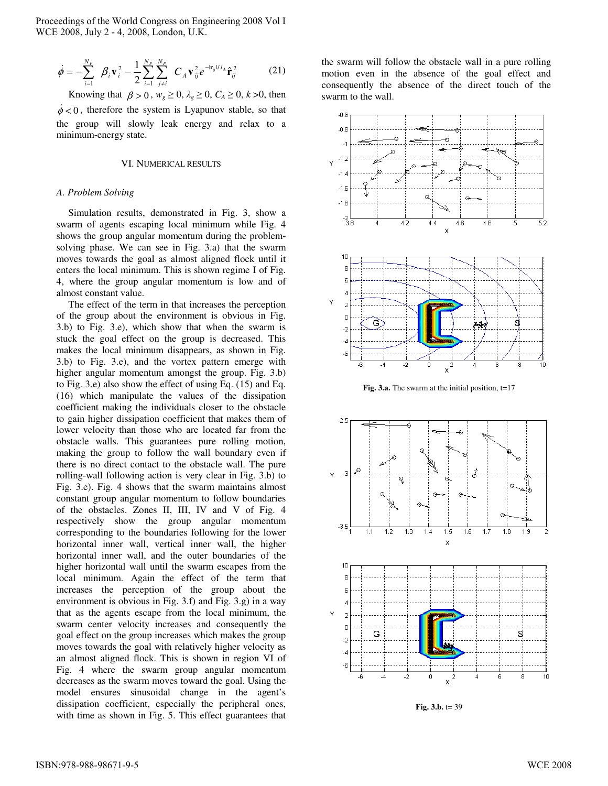$$
\dot{\phi} = -\sum_{i=1}^{N_P} \beta_i \mathbf{v}_i^2 - \frac{1}{2} \sum_{i=1}^{N_P} \sum_{j \neq i}^{N_P} C_A \mathbf{v}_{ij}^2 e^{-i \mathbf{r}_{ij} U A} \hat{\mathbf{r}}_{ij}^2
$$
(21)

Knowing that  $\beta > 0$ ,  $w_g \ge 0$ ,  $\lambda_g \ge 0$ ,  $C_A \ge 0$ ,  $k > 0$ , then  $\dot{\phi}$  < 0, therefore the system is Lyapunov stable, so that the group will slowly leak energy and relax to a minimum-energy state.

## VI. NUMERICAL RESULTS

#### *A. Problem Solving*

 Simulation results, demonstrated in Fig. 3, show a swarm of agents escaping local minimum while Fig. 4 shows the group angular momentum during the problemsolving phase. We can see in Fig. 3.a) that the swarm moves towards the goal as almost aligned flock until it enters the local minimum. This is shown regime I of Fig. 4, where the group angular momentum is low and of almost constant value.

 The effect of the term in that increases the perception of the group about the environment is obvious in Fig. 3.b) to Fig. 3.e), which show that when the swarm is stuck the goal effect on the group is decreased. This makes the local minimum disappears, as shown in Fig. 3.b) to Fig. 3.e), and the vortex pattern emerge with higher angular momentum amongst the group. Fig. 3.b) to Fig. 3.e) also show the effect of using Eq. (15) and Eq. (16) which manipulate the values of the dissipation coefficient making the individuals closer to the obstacle to gain higher dissipation coefficient that makes them of lower velocity than those who are located far from the obstacle walls. This guarantees pure rolling motion, making the group to follow the wall boundary even if there is no direct contact to the obstacle wall. The pure rolling-wall following action is very clear in Fig. 3.b) to Fig. 3.e). Fig. 4 shows that the swarm maintains almost constant group angular momentum to follow boundaries of the obstacles. Zones II, III, IV and V of Fig. 4 respectively show the group angular momentum corresponding to the boundaries following for the lower horizontal inner wall, vertical inner wall, the higher horizontal inner wall, and the outer boundaries of the higher horizontal wall until the swarm escapes from the local minimum. Again the effect of the term that increases the perception of the group about the environment is obvious in Fig. 3.f) and Fig. 3.g) in a way that as the agents escape from the local minimum, the swarm center velocity increases and consequently the goal effect on the group increases which makes the group moves towards the goal with relatively higher velocity as an almost aligned flock. This is shown in region VI of Fig. 4 where the swarm group angular momentum decreases as the swarm moves toward the goal. Using the model ensures sinusoidal change in the agent's dissipation coefficient, especially the peripheral ones, with time as shown in Fig. 5. This effect guarantees that

the swarm will follow the obstacle wall in a pure rolling motion even in the absence of the goal effect and consequently the absence of the direct touch of the swarm to the wall.



Fig. 3.a. The swarm at the initial position, t=17



**Fig. 3.b.**  $t = 39$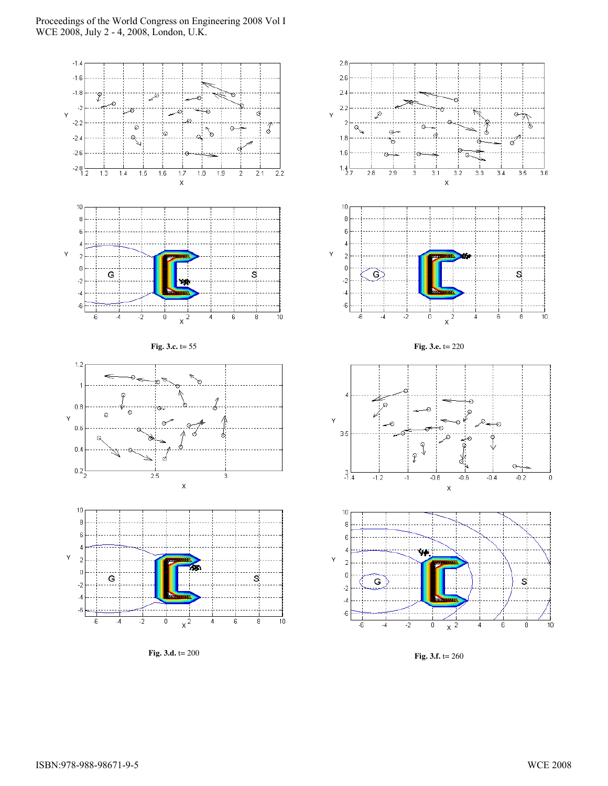

**Fig. 3.d.** t= 200



**Fig. 3.f.** t= 260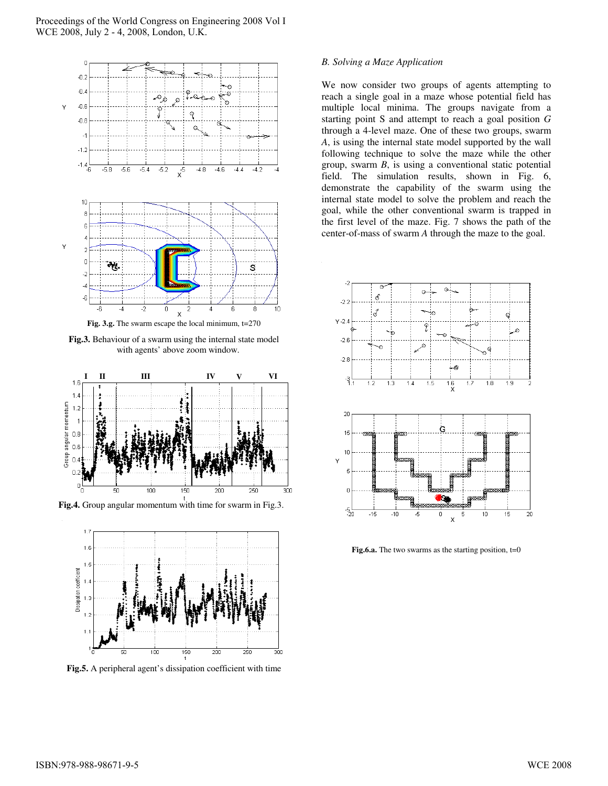

**Fig.3.** Behaviour of a swarm using the internal state model with agents' above zoom window.



**Fig.4.** Group angular momentum with time for swarm in Fig.3.



**Fig.5.** A peripheral agent's dissipation coefficient with time

## *B. Solving a Maze Application*

We now consider two groups of agents attempting to reach a single goal in a maze whose potential field has multiple local minima. The groups navigate from a starting point S and attempt to reach a goal position *G* through a 4-level maze. One of these two groups, swarm *A*, is using the internal state model supported by the wall following technique to solve the maze while the other group, swarm *B*, is using a conventional static potential field. The simulation results, shown in Fig. 6, demonstrate the capability of the swarm using the internal state model to solve the problem and reach the goal, while the other conventional swarm is trapped in the first level of the maze. Fig. 7 shows the path of the center-of-mass of swarm *A* through the maze to the goal.



**Fig.6.a.** The two swarms as the starting position,  $t=0$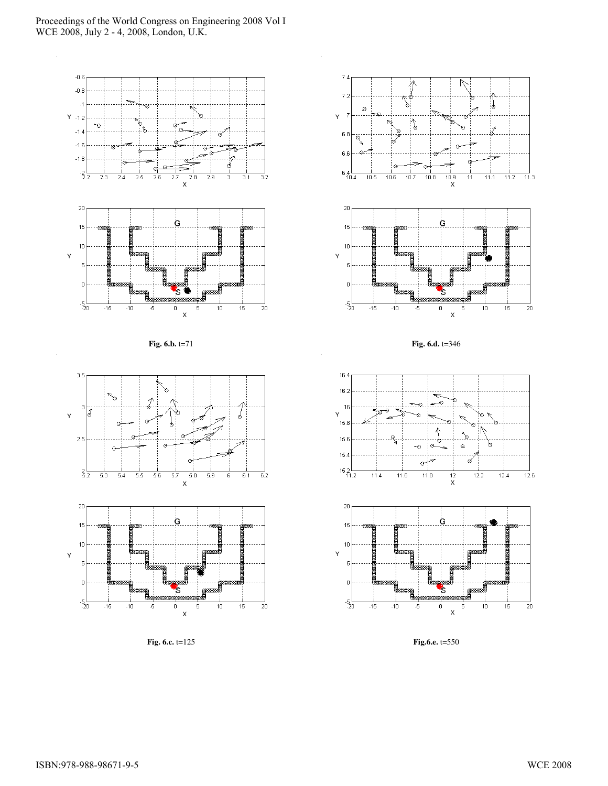

**Fig. 6.c.** t=125

۰, i)<br>S Ğ, Ġ  $10.7$  $10.8$  $\frac{10.9}{X}$  $11.1$  $11.2$  $\frac{1}{11.3}$ 11 G



5

 $10\,$ 

-5

 $\overline{20}$ 

15

**Fig. 6.d.** t=346





**Fig.6.e.** t=550